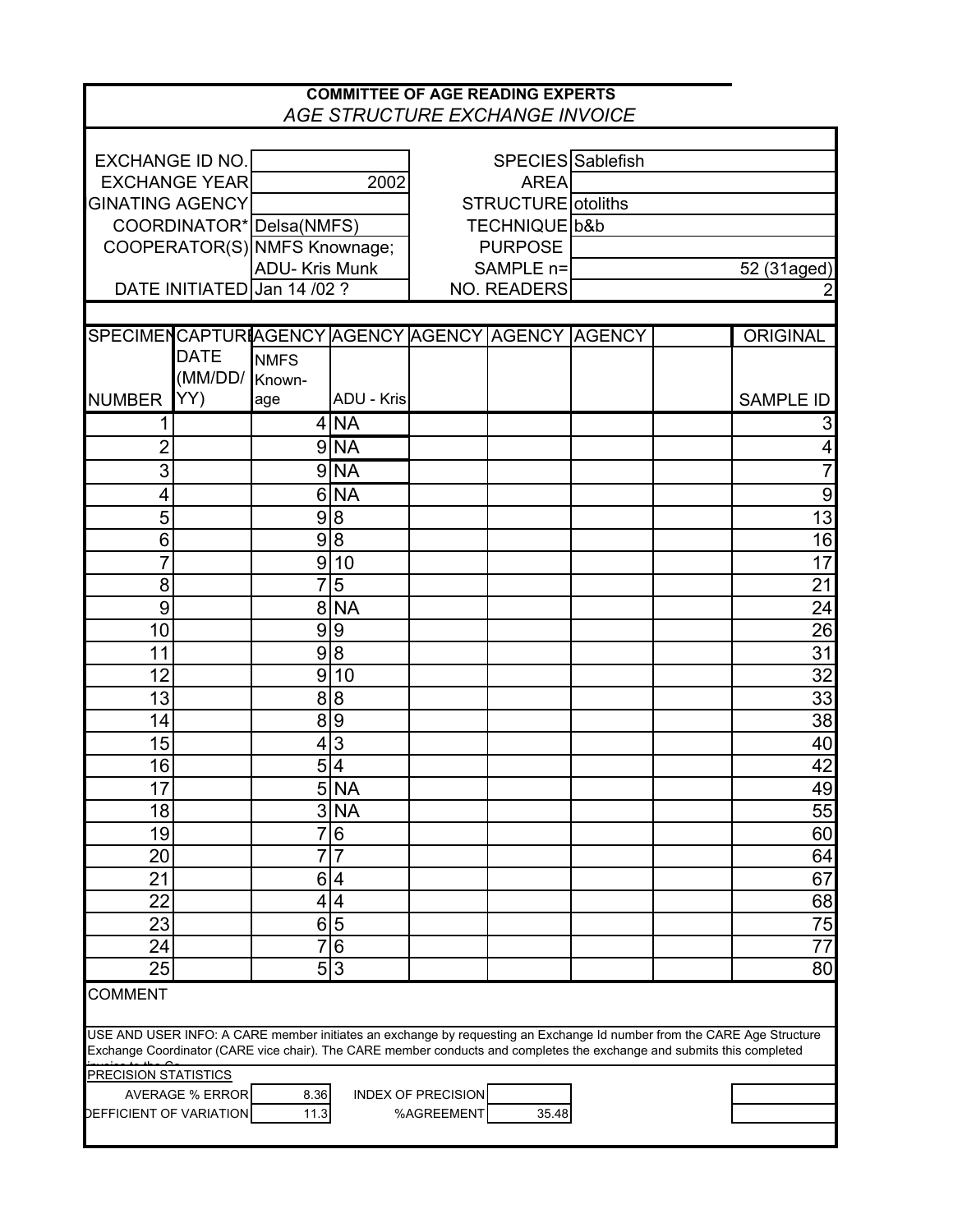|                                                                                                                                                                                                                                                  |                             |                              |                            |                           | <b>COMMITTEE OF AGE READING EXPERTS</b><br><b>AGE STRUCTURE EXCHANGE INVOICE</b> |  |  |                  |  |
|--------------------------------------------------------------------------------------------------------------------------------------------------------------------------------------------------------------------------------------------------|-----------------------------|------------------------------|----------------------------|---------------------------|----------------------------------------------------------------------------------|--|--|------------------|--|
|                                                                                                                                                                                                                                                  |                             |                              |                            |                           |                                                                                  |  |  |                  |  |
|                                                                                                                                                                                                                                                  | EXCHANGE ID NO.             |                              |                            |                           | SPECIES Sablefish                                                                |  |  |                  |  |
|                                                                                                                                                                                                                                                  | <b>EXCHANGE YEAR</b>        |                              | 2002                       |                           | <b>AREA</b>                                                                      |  |  |                  |  |
| <b>GINATING AGENCY</b>                                                                                                                                                                                                                           |                             |                              |                            |                           | STRUCTURE otoliths                                                               |  |  |                  |  |
|                                                                                                                                                                                                                                                  |                             | COORDINATOR* Delsa (NMFS)    |                            |                           | TECHNIQUE b&b                                                                    |  |  |                  |  |
|                                                                                                                                                                                                                                                  |                             | COOPERATOR(S) NMFS Knownage; |                            | <b>PURPOSE</b>            |                                                                                  |  |  |                  |  |
|                                                                                                                                                                                                                                                  |                             | <b>ADU-Kris Munk</b>         |                            |                           | SAMPLE n=                                                                        |  |  | 52 (31aged)      |  |
|                                                                                                                                                                                                                                                  |                             | DATE INITIATED Jan 14 /02 ?  |                            | <b>NO. READERS</b>        |                                                                                  |  |  |                  |  |
|                                                                                                                                                                                                                                                  |                             |                              |                            |                           |                                                                                  |  |  |                  |  |
|                                                                                                                                                                                                                                                  |                             |                              |                            |                           | SPECIMENCAPTUR AGENCY AGENCY AGENCY AGENCY AGENCY                                |  |  | <b>ORIGINAL</b>  |  |
|                                                                                                                                                                                                                                                  | <b>DATE</b>                 | <b>NMFS</b>                  |                            |                           |                                                                                  |  |  |                  |  |
|                                                                                                                                                                                                                                                  | (MM/DD/                     | Known-                       |                            |                           |                                                                                  |  |  |                  |  |
| <b>NUMBER</b>                                                                                                                                                                                                                                    | YY)                         | age                          | <b>ADU - Kris</b>          |                           |                                                                                  |  |  | <b>SAMPLE ID</b> |  |
|                                                                                                                                                                                                                                                  |                             |                              | 4 NA                       |                           |                                                                                  |  |  | 3                |  |
| 2                                                                                                                                                                                                                                                |                             |                              | $9$ NA                     |                           |                                                                                  |  |  | 4                |  |
| 3                                                                                                                                                                                                                                                |                             |                              | $9$ NA                     |                           |                                                                                  |  |  | $\overline{7}$   |  |
| 4                                                                                                                                                                                                                                                |                             |                              | $6$ $NA$                   |                           |                                                                                  |  |  | $\overline{9}$   |  |
| 5                                                                                                                                                                                                                                                |                             |                              | 9 8                        |                           |                                                                                  |  |  | $\overline{13}$  |  |
| 6                                                                                                                                                                                                                                                |                             |                              | 9 8                        |                           |                                                                                  |  |  | 16               |  |
| $\overline{7}$                                                                                                                                                                                                                                   |                             | $\boldsymbol{9}$             | 10                         |                           |                                                                                  |  |  | 17               |  |
| 8                                                                                                                                                                                                                                                |                             |                              | 7 5                        |                           |                                                                                  |  |  | 21               |  |
| 9                                                                                                                                                                                                                                                |                             |                              | 8 NA                       |                           |                                                                                  |  |  | $\overline{24}$  |  |
| 10                                                                                                                                                                                                                                               |                             |                              | 9 9                        |                           |                                                                                  |  |  | 26               |  |
| 11                                                                                                                                                                                                                                               |                             |                              | 9 8                        |                           |                                                                                  |  |  | 31               |  |
| 12                                                                                                                                                                                                                                               |                             | 9                            | 10                         |                           |                                                                                  |  |  | 32               |  |
| 13                                                                                                                                                                                                                                               |                             |                              | 8 8                        |                           |                                                                                  |  |  | 33               |  |
| 14                                                                                                                                                                                                                                               |                             | 8 <sup>1</sup>               | $\overline{9}$             |                           |                                                                                  |  |  | $\overline{38}$  |  |
| 15                                                                                                                                                                                                                                               |                             |                              | $\overline{4}$ 3           |                           |                                                                                  |  |  | 40               |  |
| 16                                                                                                                                                                                                                                               |                             | $\overline{5}$               | $\overline{4}$             |                           |                                                                                  |  |  | $\overline{42}$  |  |
| 17                                                                                                                                                                                                                                               |                             |                              | 5 NA                       |                           |                                                                                  |  |  | 49               |  |
| 18                                                                                                                                                                                                                                               |                             |                              | 3 NA                       |                           |                                                                                  |  |  | 55               |  |
| 19                                                                                                                                                                                                                                               |                             | $\overline{7}$               | $6\overline{6}$            |                           |                                                                                  |  |  | 60               |  |
| 20                                                                                                                                                                                                                                               |                             |                              | $\overline{7}\overline{7}$ |                           |                                                                                  |  |  | 64               |  |
| 21                                                                                                                                                                                                                                               |                             | $6\vert$                     | $\overline{4}$             |                           |                                                                                  |  |  | 67               |  |
| 22                                                                                                                                                                                                                                               |                             |                              | 4 4                        |                           |                                                                                  |  |  | 68               |  |
| 23                                                                                                                                                                                                                                               |                             | $6 \,$                       | $\overline{5}$             |                           |                                                                                  |  |  | 75               |  |
| 24                                                                                                                                                                                                                                               |                             | $\overline{7}$               | $\overline{6}$             |                           |                                                                                  |  |  | $\overline{77}$  |  |
| 25                                                                                                                                                                                                                                               |                             |                              | $\overline{5 3}$           |                           |                                                                                  |  |  | 80               |  |
| <b>COMMENT</b>                                                                                                                                                                                                                                   |                             |                              |                            |                           |                                                                                  |  |  |                  |  |
|                                                                                                                                                                                                                                                  |                             |                              |                            |                           |                                                                                  |  |  |                  |  |
|                                                                                                                                                                                                                                                  |                             |                              |                            |                           |                                                                                  |  |  |                  |  |
| USE AND USER INFO: A CARE member initiates an exchange by requesting an Exchange Id number from the CARE Age Structure<br>Exchange Coordinator (CARE vice chair). The CARE member conducts and completes the exchange and submits this completed |                             |                              |                            |                           |                                                                                  |  |  |                  |  |
|                                                                                                                                                                                                                                                  | <b>PRECISION STATISTICS</b> |                              |                            |                           |                                                                                  |  |  |                  |  |
|                                                                                                                                                                                                                                                  | <b>AVERAGE % ERROR</b>      | 8.36                         |                            | <b>INDEX OF PRECISION</b> |                                                                                  |  |  |                  |  |
| <b>DEFFICIENT OF VARIATION</b>                                                                                                                                                                                                                   |                             | 11.3                         |                            | %AGREEMENT                | 35.48                                                                            |  |  |                  |  |
|                                                                                                                                                                                                                                                  |                             |                              |                            |                           |                                                                                  |  |  |                  |  |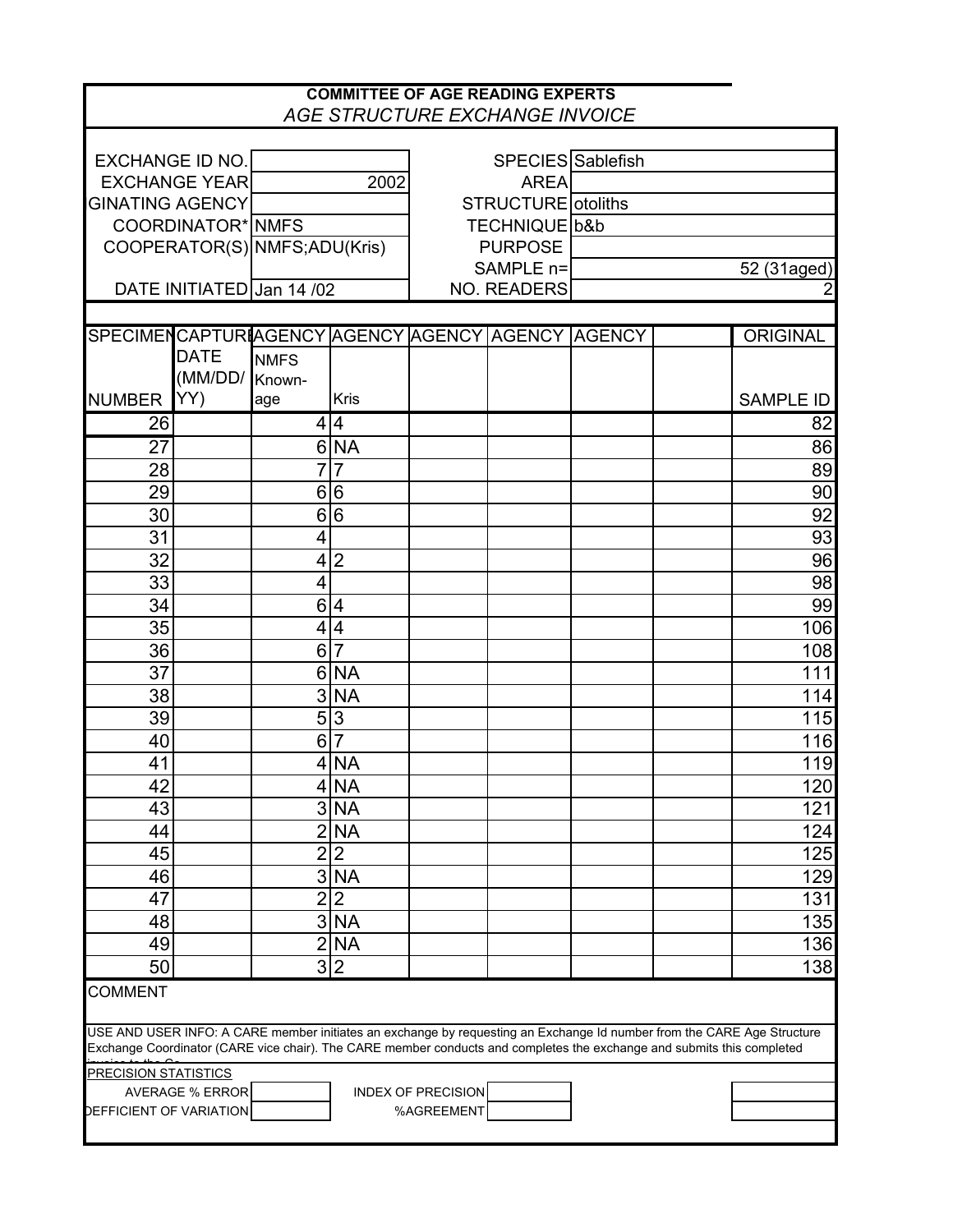|                                                                                                                        |                        |                               |                         |                           | <b>COMMITTEE OF AGE READING EXPERTS</b><br>AGE STRUCTURE EXCHANGE INVOICE |  |                                                                                                                        |
|------------------------------------------------------------------------------------------------------------------------|------------------------|-------------------------------|-------------------------|---------------------------|---------------------------------------------------------------------------|--|------------------------------------------------------------------------------------------------------------------------|
|                                                                                                                        |                        |                               |                         |                           |                                                                           |  |                                                                                                                        |
| <b>EXCHANGE ID NO.</b>                                                                                                 |                        |                               |                         |                           | SPECIES Sablefish                                                         |  |                                                                                                                        |
|                                                                                                                        | <b>EXCHANGE YEAR</b>   |                               | 2002                    |                           | <b>AREA</b>                                                               |  |                                                                                                                        |
| <b>GINATING AGENCY</b>                                                                                                 |                        |                               |                         |                           | <b>STRUCTURE</b> otoliths                                                 |  |                                                                                                                        |
|                                                                                                                        | COORDINATOR* NMFS      |                               |                         |                           | TECHNIQUE b&b                                                             |  |                                                                                                                        |
|                                                                                                                        |                        | COOPERATOR(S) NMFS; ADU(Kris) |                         |                           | <b>PURPOSE</b>                                                            |  |                                                                                                                        |
|                                                                                                                        |                        |                               |                         |                           | SAMPLE n=                                                                 |  | 52 (31aged)                                                                                                            |
|                                                                                                                        |                        | DATE INITIATED Jan 14 /02     |                         |                           | <b>NO. READERS</b>                                                        |  |                                                                                                                        |
|                                                                                                                        |                        |                               |                         |                           |                                                                           |  |                                                                                                                        |
| SPECIMENCAPTUR AGENCY AGENCY AGENCY AGENCY AGENCY                                                                      |                        |                               |                         |                           |                                                                           |  | <b>ORIGINAL</b>                                                                                                        |
|                                                                                                                        | <b>DATE</b>            | <b>NMFS</b>                   |                         |                           |                                                                           |  |                                                                                                                        |
|                                                                                                                        | (MM/DD/                | Known-                        |                         |                           |                                                                           |  |                                                                                                                        |
| <b>NUMBER</b>                                                                                                          | YY)                    | age                           | <b>Kris</b>             |                           |                                                                           |  | <b>SAMPLE ID</b>                                                                                                       |
| 26                                                                                                                     |                        |                               | 4 4                     |                           |                                                                           |  | 82                                                                                                                     |
| 27                                                                                                                     |                        |                               | 6 NA                    |                           |                                                                           |  | 86                                                                                                                     |
| 28                                                                                                                     |                        | $\overline{7}$                | $\overline{7}$          |                           |                                                                           |  | 89                                                                                                                     |
| 29                                                                                                                     |                        | 6                             | 6                       |                           |                                                                           |  | 90                                                                                                                     |
| 30                                                                                                                     |                        |                               | 6 6                     |                           |                                                                           |  | 92                                                                                                                     |
| 31                                                                                                                     |                        | 4                             |                         |                           |                                                                           |  | 93                                                                                                                     |
| 32                                                                                                                     |                        |                               | 4 2                     |                           |                                                                           |  | 96                                                                                                                     |
| 33                                                                                                                     |                        | 4                             |                         |                           |                                                                           |  | 98                                                                                                                     |
| 34                                                                                                                     |                        | 6                             | $\overline{4}$          |                           |                                                                           |  | 99                                                                                                                     |
| 35                                                                                                                     |                        |                               | 4 4                     |                           |                                                                           |  | 106                                                                                                                    |
| 36                                                                                                                     |                        |                               | 6 7                     |                           |                                                                           |  | 108                                                                                                                    |
| 37                                                                                                                     |                        |                               | 6 NA                    |                           |                                                                           |  | 111                                                                                                                    |
| 38                                                                                                                     |                        | 3                             | <b>NA</b>               |                           |                                                                           |  | 114                                                                                                                    |
| 39                                                                                                                     |                        | $\overline{5}$                | ပြ                      |                           |                                                                           |  | 115                                                                                                                    |
| 40                                                                                                                     |                        | 6                             | $\overline{7}$          |                           |                                                                           |  | 116                                                                                                                    |
|                                                                                                                        |                        |                               |                         |                           |                                                                           |  |                                                                                                                        |
| 41                                                                                                                     |                        |                               | $4$ NA                  |                           |                                                                           |  | 119                                                                                                                    |
| 42                                                                                                                     |                        |                               | $4$ NA                  |                           |                                                                           |  | 120                                                                                                                    |
| 43                                                                                                                     |                        |                               | 3 <sub>N</sub> A        |                           |                                                                           |  | 121                                                                                                                    |
| 44                                                                                                                     |                        |                               | 2 NA                    |                           |                                                                           |  | 124                                                                                                                    |
| 45                                                                                                                     |                        |                               | 2 2                     |                           |                                                                           |  | 125                                                                                                                    |
| 46                                                                                                                     |                        |                               | $3\overline{\text{NA}}$ |                           |                                                                           |  | 129                                                                                                                    |
| 47                                                                                                                     |                        | $\overline{2}$                | $\overline{2}$          |                           |                                                                           |  | 131                                                                                                                    |
| 48                                                                                                                     |                        | ن                             | <b>NA</b>               |                           |                                                                           |  | 135                                                                                                                    |
| 49                                                                                                                     |                        | $\overline{2}$                | <b>NA</b>               |                           |                                                                           |  | 136                                                                                                                    |
| 50                                                                                                                     |                        |                               | $\overline{3 2}$        |                           |                                                                           |  | 138                                                                                                                    |
| <b>COMMENT</b>                                                                                                         |                        |                               |                         |                           |                                                                           |  |                                                                                                                        |
| Exchange Coordinator (CARE vice chair). The CARE member conducts and completes the exchange and submits this completed |                        |                               |                         |                           |                                                                           |  | USE AND USER INFO: A CARE member initiates an exchange by requesting an Exchange Id number from the CARE Age Structure |
| <b>PRECISION STATISTICS</b>                                                                                            |                        |                               |                         |                           |                                                                           |  |                                                                                                                        |
|                                                                                                                        | <b>AVERAGE % ERROR</b> |                               |                         | <b>INDEX OF PRECISION</b> |                                                                           |  |                                                                                                                        |
| <b>DEFFICIENT OF VARIATION</b>                                                                                         |                        |                               |                         | %AGREEMENT                |                                                                           |  |                                                                                                                        |
|                                                                                                                        |                        |                               |                         |                           |                                                                           |  |                                                                                                                        |